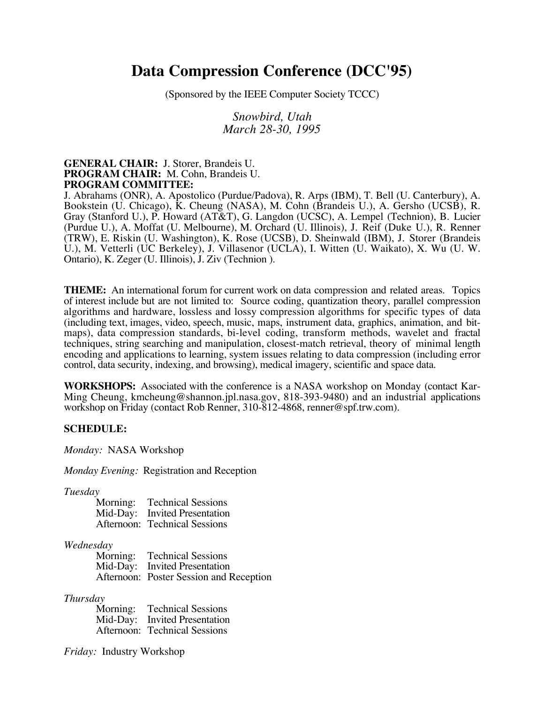# **Data Compression Conference (DCC'95)**

(Sponsored by the IEEE Computer Society TCCC)

*Snowbird, Utah March 28-30, 1995*

## **GENERAL CHAIR:** J. Storer, Brandeis U. **PROGRAM CHAIR:** M. Cohn, Brandeis U. **PROGRAM COMMITTEE:**

J. Abrahams (ONR), A. Apostolico (Purdue/Padova), R. Arps (IBM), T. Bell (U. Canterbury), A. Bookstein (U. Chicago), K. Cheung (NASA), M. Cohn (Brandeis U.), A. Gersho (UCSB), R. Gray (Stanford U.), P. Howard (AT&T), G. Langdon (UCSC), A. Lempel (Technion), B. Lucier (Purdue U.), A. Moffat (U. Melbourne), M. Orchard (U. Illinois), J. Reif (Duke U.), R. Renner (TRW), E. Riskin (U. Washington), K. Rose (UCSB), D. Sheinwald (IBM), J. Storer (Brandeis U.), M. Vetterli (UC Berkeley), J. Villasenor (UCLA), I. Witten (U. Waikato), X. Wu (U. W. Ontario), K. Zeger (U. Illinois), J. Ziv (Technion ).

**THEME:** An international forum for current work on data compression and related areas. Topics of interest include but are not limited to: Source coding, quantization theory, parallel compression algorithms and hardware, lossless and lossy compression algorithms for specific types of data (including text, images, video, speech, music, maps, instrument data, graphics, animation, and bitmaps), data compression standards, bi-level coding, transform methods, wavelet and fractal techniques, string searching and manipulation, closest-match retrieval, theory of minimal length encoding and applications to learning, system issues relating to data compression (including error control, data security, indexing, and browsing), medical imagery, scientific and space data.

**WORKSHOPS:** Associated with the conference is a NASA workshop on Monday (contact Kar-Ming Cheung, kmcheung@shannon.jpl.nasa.gov, 818-393-9480) and an industrial applications workshop on Friday (contact Rob Renner, 310-812-4868, renner@spf.trw.com).

#### **SCHEDULE:**

*Monday:* NASA Workshop

*Monday Evening:* Registration and Reception

*Tuesday*

| Morning: | <b>Technical Sessions</b>     |
|----------|-------------------------------|
| Mid-Day: | <b>Invited Presentation</b>   |
|          | Afternoon: Technical Sessions |

#### *Wednesday*

| Morning: Technical Sessions             |
|-----------------------------------------|
| Mid-Day: Invited Presentation           |
| Afternoon: Poster Session and Reception |

#### *Thursday*

Morning: Technical Sessions Mid-Day: Invited Presentation Afternoon: Technical Sessions

*Friday:* Industry Workshop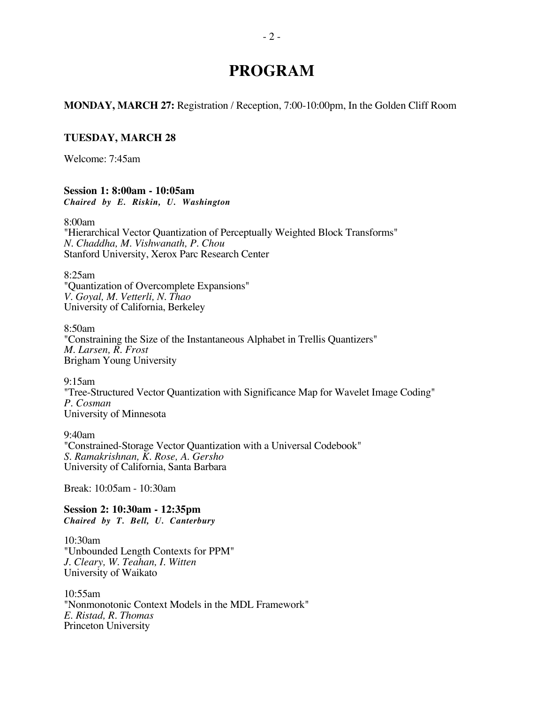# **PROGRAM**

**MONDAY, MARCH 27:** Registration / Reception, 7:00-10:00pm, In the Golden Cliff Room

## **TUESDAY, MARCH 28**

Welcome: 7:45am

#### **Session 1: 8:00am - 10:05am** *Chaired by E. Riskin, U. Washington*

8:00am

"Hierarchical Vector Quantization of Perceptually Weighted Block Transforms" *N. Chaddha, M. Vishwanath, P. Chou* Stanford University, Xerox Parc Research Center

8:25am "Quantization of Overcomplete Expansions" *V. Goyal, M. Vetterli, N. Thao* University of California, Berkeley

8:50am "Constraining the Size of the Instantaneous Alphabet in Trellis Quantizers" *M. Larsen, R. Frost* Brigham Young University

9:15am "Tree-Structured Vector Quantization with Significance Map for Wavelet Image Coding" *P. Cosman* University of Minnesota

9:40am "Constrained-Storage Vector Quantization with a Universal Codebook" *S. Ramakrishnan, K. Rose, A. Gersho* University of California, Santa Barbara

Break: 10:05am - 10:30am

**Session 2: 10:30am - 12:35pm** *Chaired by T. Bell, U. Canterbury*

10:30am "Unbounded Length Contexts for PPM" *J. Cleary, W. Teahan, I. Witten* University of Waikato

10:55am "Nonmonotonic Context Models in the MDL Framework" *E. Ristad, R. Thomas* Princeton University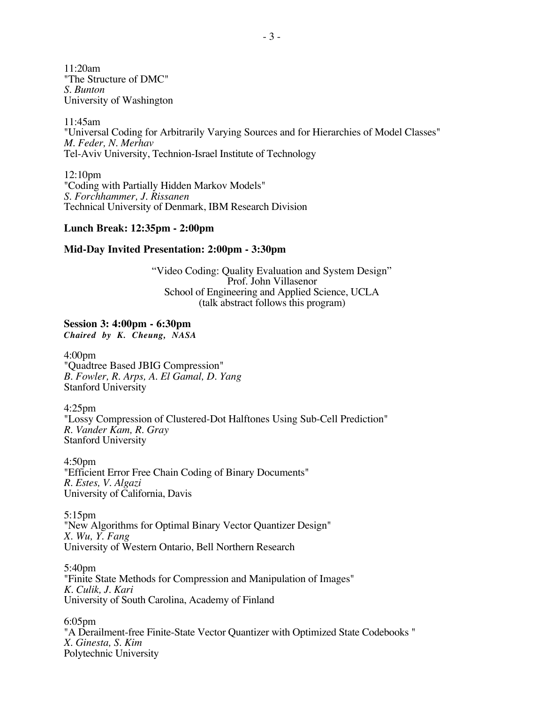11:20am "The Structure of DMC" *S. Bunton* University of Washington

11:45am "Universal Coding for Arbitrarily Varying Sources and for Hierarchies of Model Classes" *M. Feder, N. Merhav* Tel-Aviv University, Technion-Israel Institute of Technology

12:10pm "Coding with Partially Hidden Markov Models" *S. Forchhammer, J. Rissanen* Technical University of Denmark, IBM Research Division

#### **Lunch Break: 12:35pm - 2:00pm**

#### **Mid-Day Invited Presentation: 2:00pm - 3:30pm**

"Video Coding: Quality Evaluation and System Design" Prof. John Villasenor School of Engineering and Applied Science, UCLA (talk abstract follows this program)

## **Session 3: 4:00pm - 6:30pm**

*Chaired by K. Cheung, NASA*

4:00pm "Quadtree Based JBIG Compression" *B. Fowler, R. Arps, A. El Gamal, D. Yang* Stanford University

4:25pm "Lossy Compression of Clustered-Dot Halftones Using Sub-Cell Prediction" *R. Vander Kam, R. Gray* Stanford University

4:50pm "Efficient Error Free Chain Coding of Binary Documents" *R. Estes, V. Algazi* University of California, Davis

5:15pm "New Algorithms for Optimal Binary Vector Quantizer Design" *X. Wu, Y. Fang* University of Western Ontario, Bell Northern Research

5:40pm "Finite State Methods for Compression and Manipulation of Images" *K. Culik, J. Kari* University of South Carolina, Academy of Finland

6:05pm "A Derailment-free Finite-State Vector Quantizer with Optimized State Codebooks " *X. Ginesta, S. Kim* Polytechnic University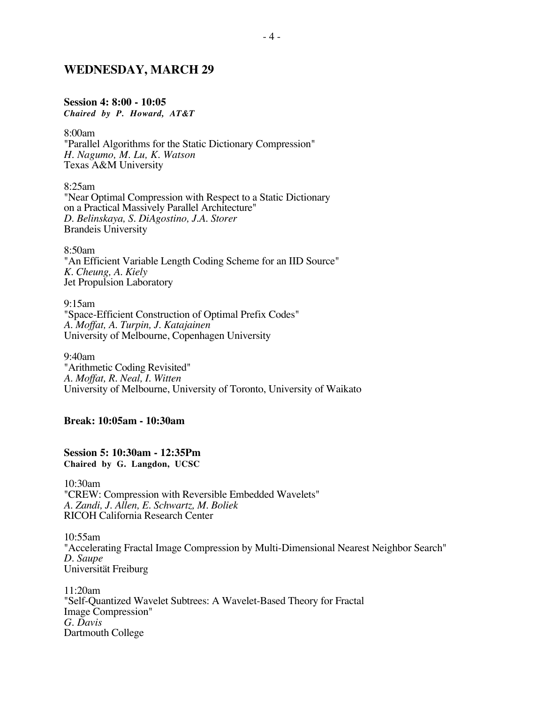## **WEDNESDAY, MARCH 29**

#### **Session 4: 8:00 - 10:05**

*Chaired by P. Howard, AT&T*

8:00am

"Parallel Algorithms for the Static Dictionary Compression" *H. Nagumo, M. Lu, K. Watson* Texas A&M University

8:25am "Near Optimal Compression with Respect to a Static Dictionary on a Practical Massively Parallel Architecture" *D. Belinskaya, S. DiAgostino, J.A. Storer* Brandeis University

8:50am "An Efficient Variable Length Coding Scheme for an IID Source" *K. Cheung, A. Kiely* Jet Propulsion Laboratory

9:15am "Space-Efficient Construction of Optimal Prefix Codes" *A. Moffat, A. Turpin, J. Katajainen* University of Melbourne, Copenhagen University

9:40am "Arithmetic Coding Revisited" *A. Moffat, R. Neal, I. Witten* University of Melbourne, University of Toronto, University of Waikato

## **Break: 10:05am - 10:30am**

**Session 5: 10:30am - 12:35Pm Chaired by G. Langdon, UCSC**

10:30am "CREW: Compression with Reversible Embedded Wavelets" *A. Zandi, J. Allen, E. Schwartz, M. Boliek* RICOH California Research Center

10:55am "Accelerating Fractal Image Compression by Multi-Dimensional Nearest Neighbor Search" *D. Saupe* Universität Freiburg

11:20am "Self-Quantized Wavelet Subtrees: A Wavelet-Based Theory for Fractal Image Compression" *G. Davis* Dartmouth College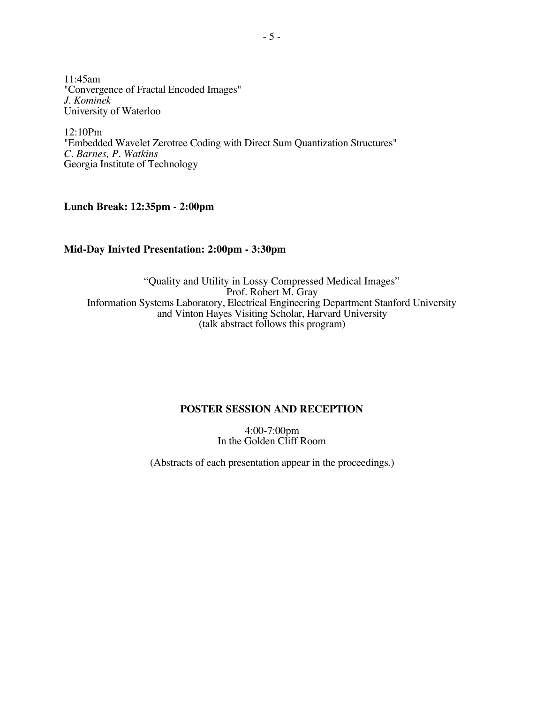11:45am "Convergence of Fractal Encoded Images" *J. Kominek* University of Waterloo

12:10Pm "Embedded Wavelet Zerotree Coding with Direct Sum Quantization Structures" *C. Barnes, P. Watkins* Georgia Institute of Technology

**Lunch Break: 12:35pm - 2:00pm**

# **Mid-Day Inivted Presentation: 2:00pm - 3:30pm**

"Quality and Utility in Lossy Compressed Medical Images" Prof. Robert M. Gray Information Systems Laboratory, Electrical Engineering Department Stanford University and Vinton Hayes Visiting Scholar, Harvard University (talk abstract follows this program)

# **POSTER SESSION AND RECEPTION**

4:00-7:00pm In the Golden Cliff Room

(Abstracts of each presentation appear in the proceedings.)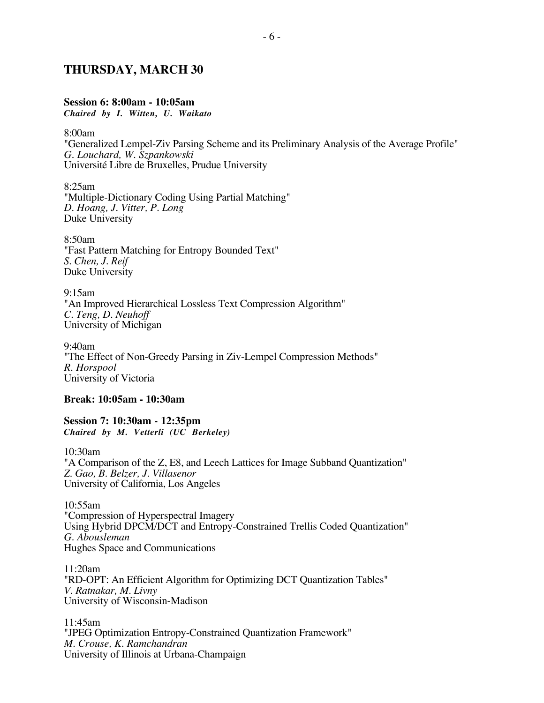# **THURSDAY, MARCH 30**

### **Session 6: 8:00am - 10:05am**

*Chaired by I. Witten, U. Waikato*

8:00am

"Generalized Lempel-Ziv Parsing Scheme and its Preliminary Analysis of the Average Profile" *G. Louchard, W. Szpankowski* Université Libre de Bruxelles, Prudue University

8:25am "Multiple-Dictionary Coding Using Partial Matching" *D. Hoang, J. Vitter, P. Long* Duke University

8:50am "Fast Pattern Matching for Entropy Bounded Text" *S. Chen, J. Reif* Duke University

9:15am "An Improved Hierarchical Lossless Text Compression Algorithm" *C. Teng, D. Neuhoff* University of Michigan

9:40am "The Effect of Non-Greedy Parsing in Ziv-Lempel Compression Methods" *R. Horspool* University of Victoria

#### **Break: 10:05am - 10:30am**

**Session 7: 10:30am - 12:35pm** *Chaired by M. Vetterli (UC Berkeley)*

10:30am "A Comparison of the Z, E8, and Leech Lattices for Image Subband Quantization" *Z. Gao, B. Belzer, J. Villasenor* University of California, Los Angeles

10:55am "Compression of Hyperspectral Imagery Using Hybrid DPCM/DCT and Entropy-Constrained Trellis Coded Quantization" *G. Abousleman* Hughes Space and Communications

11:20am "RD-OPT: An Efficient Algorithm for Optimizing DCT Quantization Tables" *V. Ratnakar, M. Livny* University of Wisconsin-Madison

11:45am "JPEG Optimization Entropy-Constrained Quantization Framework" *M. Crouse, K. Ramchandran* University of Illinois at Urbana-Champaign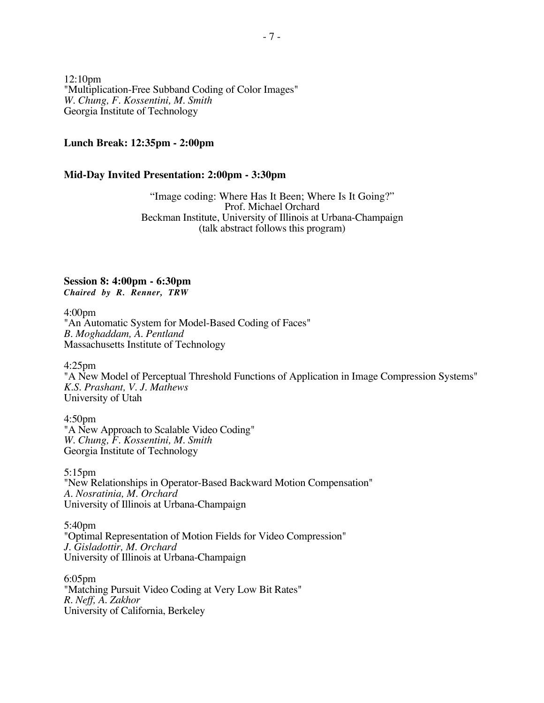12:10pm "Multiplication-Free Subband Coding of Color Images" *W. Chung, F. Kossentini, M. Smith* Georgia Institute of Technology

#### **Lunch Break: 12:35pm - 2:00pm**

#### **Mid-Day Invited Presentation: 2:00pm - 3:30pm**

"Image coding: Where Has It Been; Where Is It Going?" Prof. Michael Orchard Beckman Institute, University of Illinois at Urbana-Champaign (talk abstract follows this program)

**Session 8: 4:00pm - 6:30pm** *Chaired by R. Renner, TRW*

4:00pm "An Automatic System for Model-Based Coding of Faces" *B. Moghaddam, A. Pentland* Massachusetts Institute of Technology

4:25pm

"A New Model of Perceptual Threshold Functions of Application in Image Compression Systems" *K.S. Prashant, V. J. Mathews* University of Utah

4:50pm "A New Approach to Scalable Video Coding" *W. Chung, F. Kossentini, M. Smith* Georgia Institute of Technology

5:15pm "New Relationships in Operator-Based Backward Motion Compensation" *A. Nosratinia, M. Orchard* University of Illinois at Urbana-Champaign

5:40pm "Optimal Representation of Motion Fields for Video Compression" *J. Gisladottir, M. Orchard* University of Illinois at Urbana-Champaign

6:05pm "Matching Pursuit Video Coding at Very Low Bit Rates" *R. Neff, A. Zakhor* University of California, Berkeley